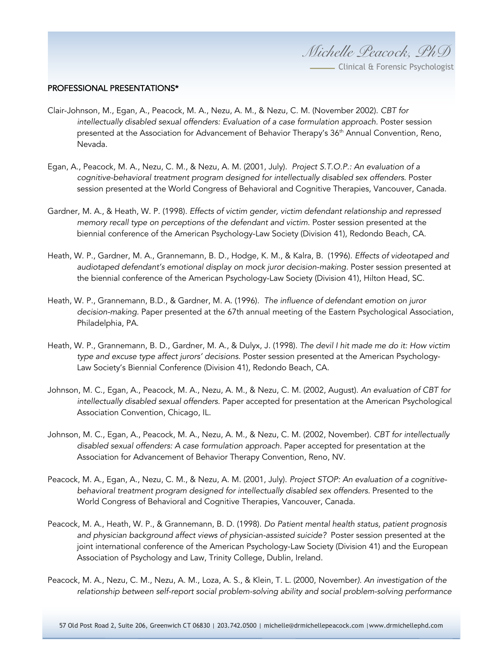*Michelle Peacock, PhD*

**Clinical & Forensic Psychologist** 

## PROFESSIONAL PRESENTATIONS\*

- Clair-Johnson, M., Egan, A., Peacock, M. A., Nezu, A. M., & Nezu, C. M. (November 2002). *CBT for intellectually disabled sexual offenders: Evaluation of a case formulation approach.* Poster session presented at the Association for Advancement of Behavior Therapy's 36<sup>th</sup> Annual Convention, Reno, Nevada.
- Egan, A., Peacock, M. A., Nezu, C. M., & Nezu, A. M. (2001, July). *Project S.T.O.P.: An evaluation of a cognitive-behavioral treatment program designed for intellectually disabled sex offenders*. Poster session presented at the World Congress of Behavioral and Cognitive Therapies, Vancouver, Canada.
- Gardner, M. A., & Heath, W. P. (1998). *Effects of victim gender, victim defendant relationship and repressed memory recall type on perceptions of the defendant and victim.* Poster session presented at the biennial conference of the American Psychology-Law Society (Division 41), Redondo Beach, CA.
- Heath, W. P., Gardner, M. A., Grannemann, B. D., Hodge, K. M., & Kalra, B. (1996). *Effects of videotaped and audiotaped defendant's emotional display on mock juror decision-making.* Poster session presented at the biennial conference of the American Psychology-Law Society (Division 41), Hilton Head, SC.
- Heath, W. P., Grannemann, B.D., & Gardner, M. A. (1996). *The influence of defendant emotion on juror decision-making.* Paper presented at the 67th annual meeting of the Eastern Psychological Association, Philadelphia, PA.
- Heath, W. P., Grannemann, B. D., Gardner, M. A., & Dulyx, J. (1998). *The devil I hit made me do it: How victim type and excuse type affect jurors' decisions.* Poster session presented at the American Psychology-Law Society's Biennial Conference (Division 41), Redondo Beach, CA.
- Johnson, M. C., Egan, A., Peacock, M. A., Nezu, A. M., & Nezu, C. M. (2002, August). *An evaluation of CBT for intellectually disabled sexual offenders.* Paper accepted for presentation at the American Psychological Association Convention, Chicago, IL.
- Johnson, M. C., Egan, A., Peacock, M. A., Nezu, A. M., & Nezu, C. M. (2002, November). *CBT for intellectually disabled sexual offenders: A case formulation approach.* Paper accepted for presentation at the Association for Advancement of Behavior Therapy Convention, Reno, NV.
- Peacock, M. A., Egan, A., Nezu, C. M., & Nezu, A. M. (2001, July). *Project STOP: An evaluation of a cognitivebehavioral treatment program designed for intellectually disabled sex offenders.* Presented to the World Congress of Behavioral and Cognitive Therapies, Vancouver, Canada.
- Peacock, M. A., Heath, W. P., & Grannemann, B. D. (1998). *Do Patient mental health status, patient prognosis and physician background affect views of physician-assisted suicide?* Poster session presented at the joint international conference of the American Psychology-Law Society (Division 41) and the European Association of Psychology and Law, Trinity College, Dublin, Ireland.
- Peacock, M. A., Nezu, C. M., Nezu, A. M., Loza, A. S., & Klein, T. L. (2000, November*). An investigation of the relationship between self-report social problem-solving ability and social problem-solving performance*